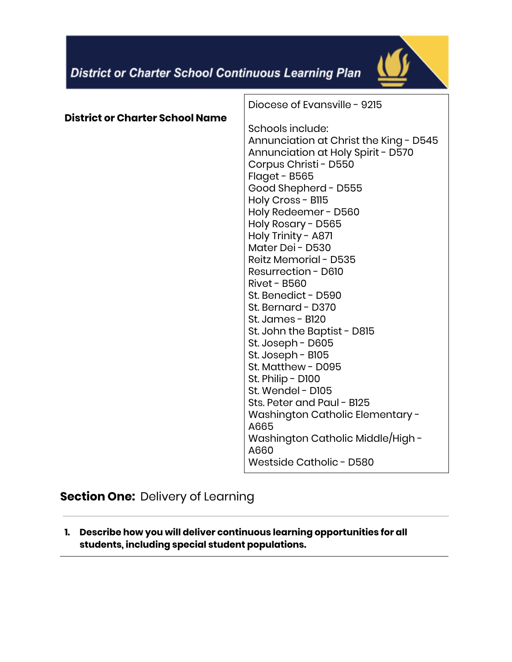

|                                 | Diocese of Evansville - 9215                                                                                                                                                                                                                                                                                                                                                                                                                                                                                                                                                                                                                                                                                         |
|---------------------------------|----------------------------------------------------------------------------------------------------------------------------------------------------------------------------------------------------------------------------------------------------------------------------------------------------------------------------------------------------------------------------------------------------------------------------------------------------------------------------------------------------------------------------------------------------------------------------------------------------------------------------------------------------------------------------------------------------------------------|
| District or Charter School Name | Schools include:<br>Annunciation at Christ the King - D545<br>Annunciation at Holy Spirit - D570<br>Corpus Christi - D550<br>Flaget - B565<br>Good Shepherd - D555<br>Holy Cross - B115<br>Holy Redeemer - D560<br>Holy Rosary - D565<br>Holy Trinity - A871<br>Mater Dei - D530<br>Reitz Memorial - D535<br>Resurrection - D610<br><b>Rivet - B560</b><br>St. Benedict - D590<br>St. Bernard - D370<br>St. James - B120<br>St. John the Baptist - D815<br>St. Joseph - D605<br>St. Joseph - B105<br>St. Matthew - D095<br>St. Philip - D100<br>St. Wendel - D105<br>Sts. Peter and Paul - B125<br>Washington Catholic Elementary -<br>A665<br>Washington Catholic Middle/High -<br>A660<br>Westside Catholic - D580 |
|                                 |                                                                                                                                                                                                                                                                                                                                                                                                                                                                                                                                                                                                                                                                                                                      |

**Section One:** Delivery of Learning

**1. Describe how you will deliver continuous learning opportunities for all students, including special student populations.**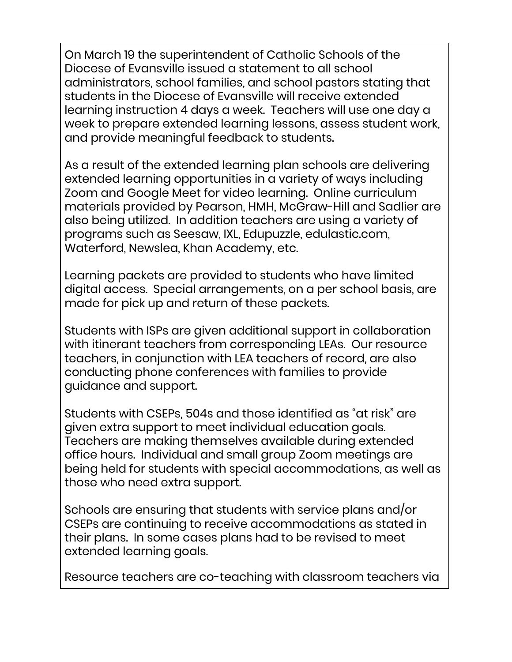On March 19 the superintendent of Catholic Schools of the Diocese of Evansville issued a statement to all school administrators, school families, and school pastors stating that students in the Diocese of Evansville will receive extended learning instruction 4 days a week. Teachers will use one day a week to prepare extended learning lessons, assess student work, and provide meaningful feedback to students.

As a result of the extended learning plan schools are delivering extended learning opportunities in a variety of ways including Zoom and Google Meet for video learning. Online curriculum materials provided by Pearson, HMH, McGraw-Hill and Sadlier are also being utilized. In addition teachers are using a variety of programs such as Seesaw, IXL, Edupuzzle, edulastic.com, Waterford, Newslea, Khan Academy, etc.

Learning packets are provided to students who have limited digital access. Special arrangements, on a per school basis, are made for pick up and return of these packets.

Students with ISPs are given additional support in collaboration with itinerant teachers from corresponding LEAs. Our resource teachers, in conjunction with LEA teachers of record, are also conducting phone conferences with families to provide guidance and support.

Students with CSEPs, 504s and those identified as "at risk" are given extra support to meet individual education goals. Teachers are making themselves available during extended office hours. Individual and small group Zoom meetings are being held for students with special accommodations, as well as those who need extra support.

Schools are ensuring that students with service plans and/or CSEPs are continuing to receive accommodations as stated in their plans. In some cases plans had to be revised to meet extended learning goals.

Resource teachers are co-teaching with classroom teachers via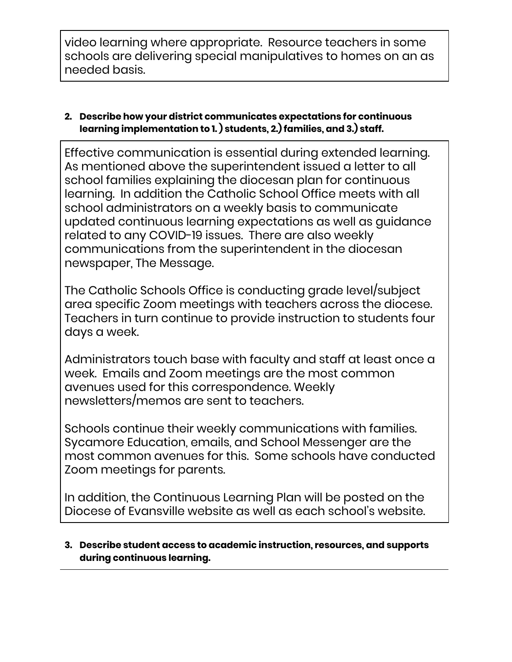video learning where appropriate. Resource teachers in some schools are delivering special manipulatives to homes on an as needed basis.

### **2. Describe how your district communicates expectations for continuous learning implementation to 1. ) students, 2.) families, and 3.) staff.**

Effective communication is essential during extended learning. As mentioned above the superintendent issued a letter to all school families explaining the diocesan plan for continuous learning. In addition the Catholic School Office meets with all school administrators on a weekly basis to communicate updated continuous learning expectations as well as guidance related to any COVID-19 issues. There are also weekly communications from the superintendent in the diocesan newspaper, The Message.

The Catholic Schools Office is conducting grade level/subject area specific Zoom meetings with teachers across the diocese. Teachers in turn continue to provide instruction to students four days a week.

Administrators touch base with faculty and staff at least once a week. Emails and Zoom meetings are the most common avenues used for this correspondence. Weekly newsletters/memos are sent to teachers.

Schools continue their weekly communications with families. Sycamore Education, emails, and School Messenger are the most common avenues for this. Some schools have conducted Zoom meetings for parents.

In addition, the Continuous Learning Plan will be posted on the Diocese of Evansville website as well as each school's website.

### **3. Describe student access to academic instruction, resources, and supports during continuous learning.**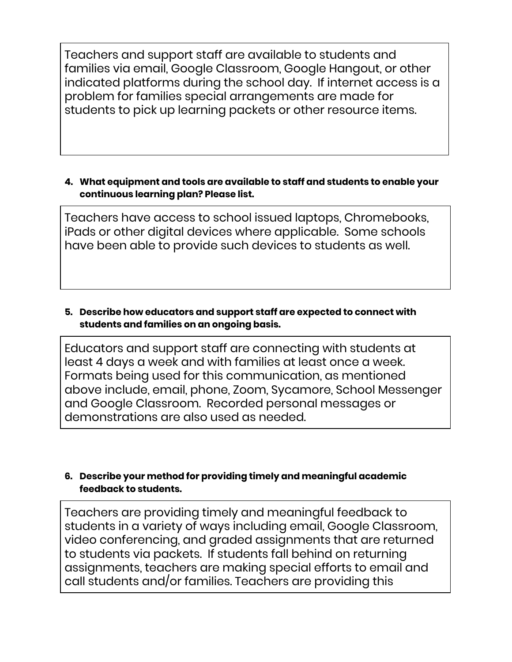Teachers and support staff are available to students and families via email, Google Classroom, Google Hangout, or other indicated platforms during the school day. If internet access is a problem for families special arrangements are made for students to pick up learning packets or other resource items.

#### **4. What equipment and tools are available to staff and students to enable your continuous learning plan? Please list.**

Teachers have access to school issued laptops, Chromebooks, iPads or other digital devices where applicable. Some schools have been able to provide such devices to students as well.

## **5. Describe how educators and support staff are expected to connect with students and families on an ongoing basis.**

Educators and support staff are connecting with students at least 4 days a week and with families at least once a week. Formats being used for this communication, as mentioned above include, email, phone, Zoom, Sycamore, School Messenger and Google Classroom. Recorded personal messages or demonstrations are also used as needed.

## **6. Describe your method for providing timely and meaningful academic feedback to students.**

Teachers are providing timely and meaningful feedback to students in a variety of ways including email, Google Classroom, video conferencing, and graded assignments that are returned to students via packets. If students fall behind on returning assignments, teachers are making special efforts to email and call students and/or families. Teachers are providing this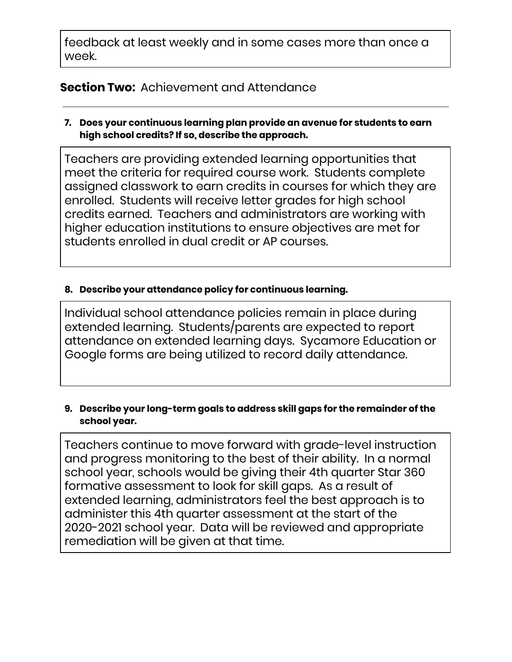feedback at least weekly and in some cases more than once a week.

# **Section Two:** Achievement and Attendance

**7. Does your continuous learning plan provide an avenue for students to earn high school credits? If so, describe the approach.**

Teachers are providing extended learning opportunities that meet the criteria for required course work. Students complete assigned classwork to earn credits in courses for which they are enrolled. Students will receive letter grades for high school credits earned. Teachers and administrators are working with higher education institutions to ensure objectives are met for students enrolled in dual credit or AP courses.

## **8. Describe your attendance policy for continuous learning.**

Individual school attendance policies remain in place during extended learning. Students/parents are expected to report attendance on extended learning days. Sycamore Education or Google forms are being utilized to record daily attendance.

### **9. Describe your long-term goals to address skill gaps for the remainder of the school year.**

Teachers continue to move forward with grade-level instruction and progress monitoring to the best of their ability. In a normal school year, schools would be giving their 4th quarter Star 360 formative assessment to look for skill gaps. As a result of extended learning, administrators feel the best approach is to administer this 4th quarter assessment at the start of the 2020-2021 school year. Data will be reviewed and appropriate remediation will be given at that time.